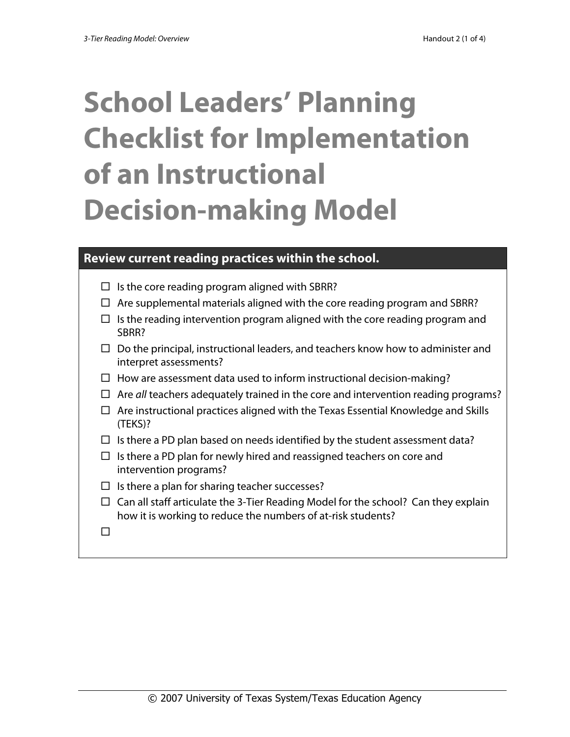# **School Leaders' Planning Checklist for Implementation of an Instructional Decision-making Model**

#### **Review current reading practices within the school.**

- $\Box$  Is the core reading program aligned with SBRR?
- $\Box$  Are supplemental materials aligned with the core reading program and SBRR?
- $\Box$  Is the reading intervention program aligned with the core reading program and SBRR?
- $\Box$  Do the principal, instructional leaders, and teachers know how to administer and interpret assessments?
- $\Box$  How are assessment data used to inform instructional decision-making?
- Are *all* teachers adequately trained in the core and intervention reading programs?
- $\Box$  Are instructional practices aligned with the Texas Essential Knowledge and Skills (TEKS)?
- $\Box$  Is there a PD plan based on needs identified by the student assessment data?
- $\Box$  Is there a PD plan for newly hired and reassigned teachers on core and intervention programs?
- $\Box$  Is there a plan for sharing teacher successes?
- $\Box$  Can all staff articulate the 3-Tier Reading Model for the school? Can they explain how it is working to reduce the numbers of at-risk students?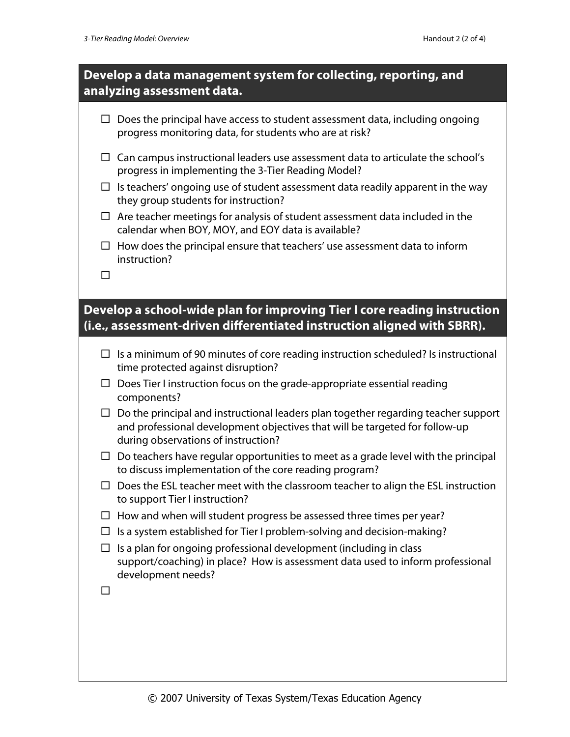### **Develop a data management system for collecting, reporting, and analyzing assessment data.**

|        | $\Box$ Does the principal have access to student assessment data, including ongoing<br>progress monitoring data, for students who are at risk?                                                           |
|--------|----------------------------------------------------------------------------------------------------------------------------------------------------------------------------------------------------------|
|        | $\Box$ Can campus instructional leaders use assessment data to articulate the school's<br>progress in implementing the 3-Tier Reading Model?                                                             |
|        | Is teachers' ongoing use of student assessment data readily apparent in the way<br>they group students for instruction?                                                                                  |
|        | $\Box$ Are teacher meetings for analysis of student assessment data included in the<br>calendar when BOY, MOY, and EOY data is available?                                                                |
| $\Box$ | How does the principal ensure that teachers' use assessment data to inform<br>instruction?                                                                                                               |
| $\Box$ |                                                                                                                                                                                                          |
|        | Develop a school-wide plan for improving Tier I core reading instruction<br>(i.e., assessment-driven differentiated instruction aligned with SBRR).                                                      |
|        | Is a minimum of 90 minutes of core reading instruction scheduled? Is instructional<br>time protected against disruption?                                                                                 |
|        | Does Tier I instruction focus on the grade-appropriate essential reading<br>components?                                                                                                                  |
| $\Box$ | Do the principal and instructional leaders plan together regarding teacher support<br>and professional development objectives that will be targeted for follow-up<br>during observations of instruction? |
| $\Box$ | Do teachers have regular opportunities to meet as a grade level with the principal<br>to discuss implementation of the core reading program?                                                             |
| □      | Does the ESL teacher meet with the classroom teacher to align the ESL instruction<br>to support Tier I instruction?                                                                                      |
|        | $\Box$ How and when will student progress be assessed three times per year?                                                                                                                              |
|        | $\Box$ Is a system established for Tier I problem-solving and decision-making?                                                                                                                           |
| ப      | Is a plan for ongoing professional development (including in class<br>support/coaching) in place? How is assessment data used to inform professional<br>development needs?                               |
| ப      |                                                                                                                                                                                                          |
|        |                                                                                                                                                                                                          |
|        |                                                                                                                                                                                                          |
|        |                                                                                                                                                                                                          |
|        |                                                                                                                                                                                                          |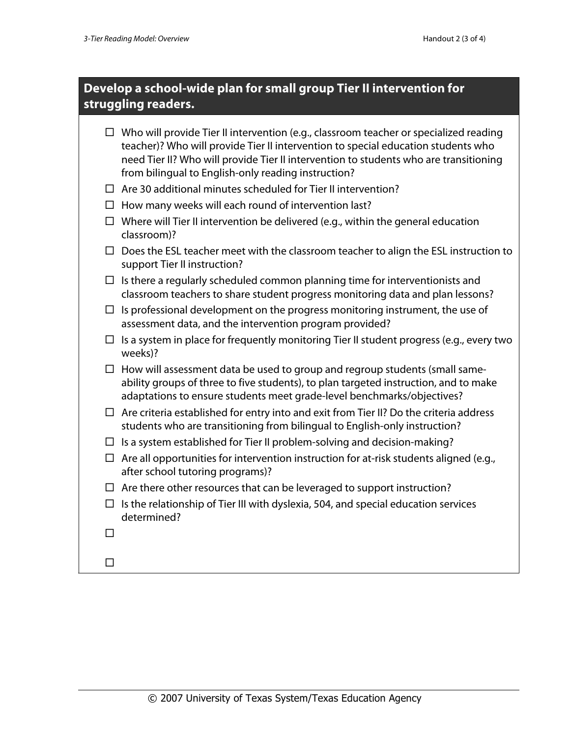## **Develop a school-wide plan for small group Tier II intervention for struggling readers.**

|        | $\Box$ Who will provide Tier II intervention (e.g., classroom teacher or specialized reading<br>teacher)? Who will provide Tier II intervention to special education students who<br>need Tier II? Who will provide Tier II intervention to students who are transitioning<br>from bilingual to English-only reading instruction? |
|--------|-----------------------------------------------------------------------------------------------------------------------------------------------------------------------------------------------------------------------------------------------------------------------------------------------------------------------------------|
|        | $\Box$ Are 30 additional minutes scheduled for Tier II intervention?                                                                                                                                                                                                                                                              |
|        | $\Box$ How many weeks will each round of intervention last?                                                                                                                                                                                                                                                                       |
|        | $\Box$ Where will Tier II intervention be delivered (e.g., within the general education<br>classroom)?                                                                                                                                                                                                                            |
|        | Does the ESL teacher meet with the classroom teacher to align the ESL instruction to<br>support Tier II instruction?                                                                                                                                                                                                              |
| $\Box$ | Is there a regularly scheduled common planning time for interventionists and<br>classroom teachers to share student progress monitoring data and plan lessons?                                                                                                                                                                    |
| □      | Is professional development on the progress monitoring instrument, the use of<br>assessment data, and the intervention program provided?                                                                                                                                                                                          |
| □      | Is a system in place for frequently monitoring Tier II student progress (e.g., every two<br>weeks)?                                                                                                                                                                                                                               |
| $\Box$ | How will assessment data be used to group and regroup students (small same-<br>ability groups of three to five students), to plan targeted instruction, and to make<br>adaptations to ensure students meet grade-level benchmarks/objectives?                                                                                     |
|        | $\Box$ Are criteria established for entry into and exit from Tier II? Do the criteria address<br>students who are transitioning from bilingual to English-only instruction?                                                                                                                                                       |
| ப      | Is a system established for Tier II problem-solving and decision-making?                                                                                                                                                                                                                                                          |
|        | $\Box$ Are all opportunities for intervention instruction for at-risk students aligned (e.g.,<br>after school tutoring programs)?                                                                                                                                                                                                 |
|        | $\Box$ Are there other resources that can be leveraged to support instruction?                                                                                                                                                                                                                                                    |
| $\Box$ | Is the relationship of Tier III with dyslexia, 504, and special education services<br>determined?                                                                                                                                                                                                                                 |
| П      |                                                                                                                                                                                                                                                                                                                                   |
| П      |                                                                                                                                                                                                                                                                                                                                   |